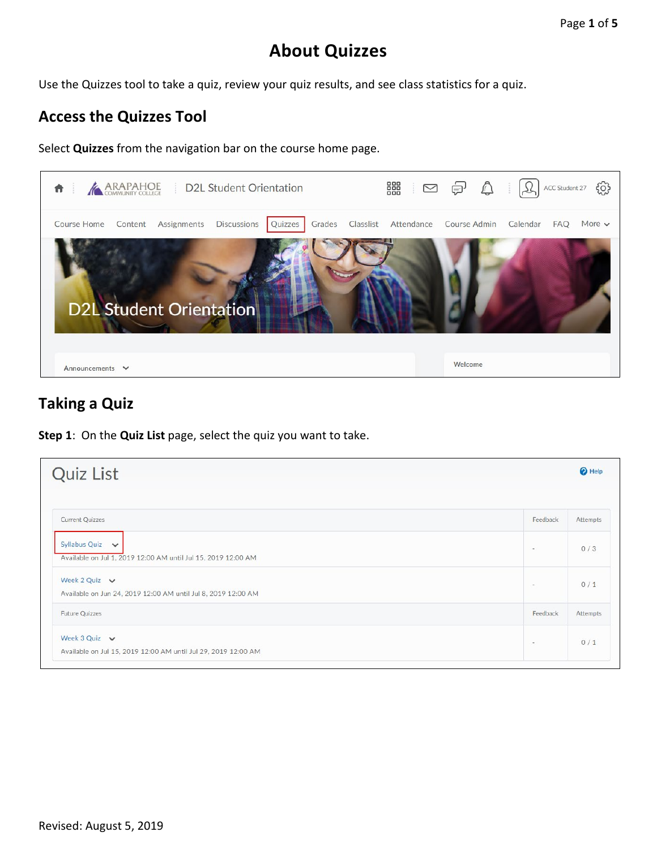# **About Quizzes**

Use the Quizzes tool to take a quiz, review your quiz results, and see class statistics for a quiz.

#### **Access the Quizzes Tool**

Select **Quizzes** from the navigation bar on the course home page.



#### **Taking a Quiz**

**Step 1**: On the **Quiz List** page, select the quiz you want to take.

| <b>Quiz List</b>                                                                     |          | <sup>O</sup> Help |
|--------------------------------------------------------------------------------------|----------|-------------------|
| <b>Current Quizzes</b>                                                               | Feedback | Attempts          |
| Syllabus Quiz v<br>Available on Jul 1, 2019 12:00 AM until Jul 15, 2019 12:00 AM     | $\sim$   | 0/3               |
| Week 2 Quiz $\vee$<br>Available on Jun 24, 2019 12:00 AM until Jul 8, 2019 12:00 AM  | $\sim$   | 0/1               |
| <b>Future Quizzes</b>                                                                | Feedback | Attempts          |
| Week 3 Quiz $\vee$<br>Available on Jul 15, 2019 12:00 AM until Jul 29, 2019 12:00 AM | $\sim$   | 0/1               |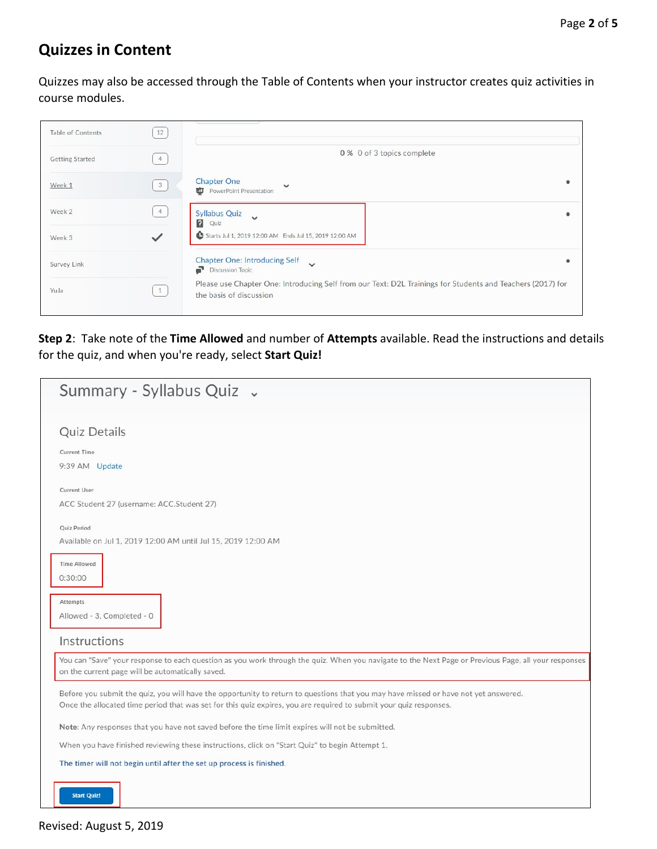## **Quizzes in Content**

Quizzes may also be accessed through the Table of Contents when your instructor creates quiz activities in course modules.

| <b>Table of Contents</b> | 12             |                                                                                                                                       |  |
|--------------------------|----------------|---------------------------------------------------------------------------------------------------------------------------------------|--|
| <b>Getting Started</b>   | $\overline{4}$ | 0 % 0 of 3 topics complete                                                                                                            |  |
| Week 1                   | 3              | <b>Chapter One</b><br>$\checkmark$<br>PowerPoint Presentation                                                                         |  |
| Week 2                   | $\overline{4}$ | <b>Syllabus Quiz</b><br>$\checkmark$<br>$\Omega$<br>Quiz                                                                              |  |
| Week 3                   | $\checkmark$   | Starts Jul 1, 2019 12:00 AM Ends Jul 15, 2019 12:00 AM                                                                                |  |
| Survey Link              |                | <b>Chapter One: Introducing Self</b><br>$\checkmark$<br>Discussion Topic                                                              |  |
| YuJa                     | 1              | Please use Chapter One: Introducing Self from our Text: D2L Trainings for Students and Teachers (2017) for<br>the basis of discussion |  |

**Step 2**: Take note of the **Time Allowed** and number of **Attempts** available. Read the instructions and details for the quiz, and when you're ready, select **Start Quiz!**

| Summary - Syllabus Quiz .                                                                                                                                                                                                                                 |
|-----------------------------------------------------------------------------------------------------------------------------------------------------------------------------------------------------------------------------------------------------------|
| <b>Quiz Details</b>                                                                                                                                                                                                                                       |
| <b>Current Time</b>                                                                                                                                                                                                                                       |
| 9:39 AM Update                                                                                                                                                                                                                                            |
| <b>Current User</b>                                                                                                                                                                                                                                       |
| ACC Student 27 (username: ACC.Student 27)                                                                                                                                                                                                                 |
| Quiz Period                                                                                                                                                                                                                                               |
| Available on Jul 1, 2019 12:00 AM until Jul 15, 2019 12:00 AM                                                                                                                                                                                             |
| <b>Time Allowed</b><br>0:30:00                                                                                                                                                                                                                            |
| Attempts<br>Allowed - 3, Completed - 0                                                                                                                                                                                                                    |
| Instructions                                                                                                                                                                                                                                              |
| You can "Save" your response to each question as you work through the quiz. When you navigate to the Next Page or Previous Page, all your responses<br>on the current page will be automatically saved.                                                   |
| Before you submit the quiz, you will have the opportunity to return to questions that you may have missed or have not yet answered.<br>Once the allocated time period that was set for this quiz expires, you are required to submit your quiz responses. |
| Note: Any responses that you have not saved before the time limit expires will not be submitted.                                                                                                                                                          |
| When you have finished reviewing these instructions, click on "Start Quiz" to begin Attempt 1.                                                                                                                                                            |
| The timer will not begin until after the set up process is finished.                                                                                                                                                                                      |
| <b>Start Quiz!</b>                                                                                                                                                                                                                                        |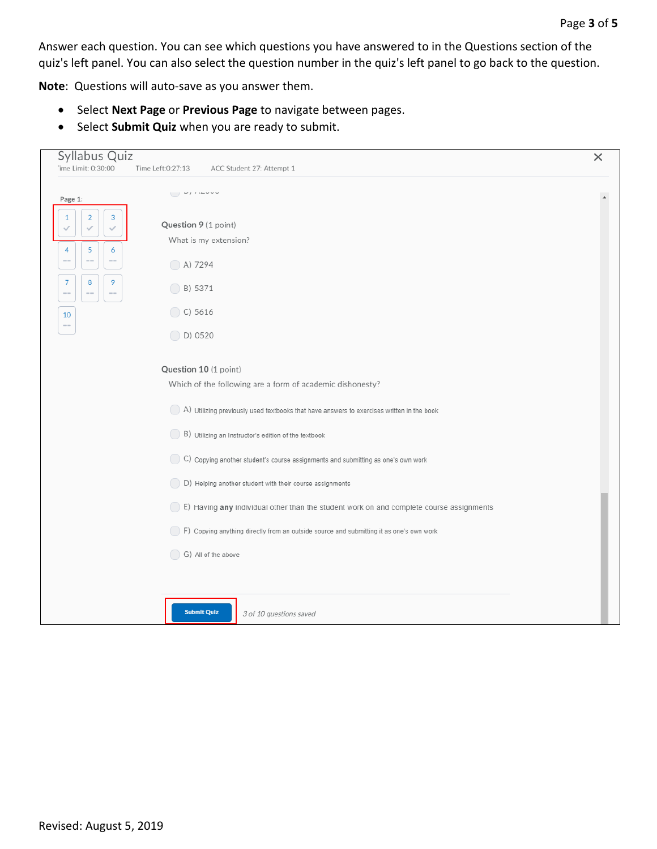Answer each question. You can see which questions you have answered to in the Questions section of the quiz's left panel. You can also select the question number in the quiz's left panel to go back to the question.

**Note**: Questions will auto-save as you answer them.

- Select **Next Page** or **Previous Page** to navigate between pages.
- Select **Submit Quiz** when you are ready to submit.

| Time Limit: 0:30:00<br>Time Left:0:27:13<br>ACC Student 27: Attempt 1<br>$\cup$ $\sim$ $\cdots$<br>Page 1:<br>$\sqrt{2}$<br>$\mathbf{3}$<br>1<br>Question 9 (1 point)<br>$\checkmark$<br>$\checkmark$<br>What is my extension?<br>5<br>4<br>6<br>$-$<br>$\qquad \qquad \cdots$<br>$-1$<br>A) 7294<br>8<br>9<br>$\overline{7}$<br>◯ B) 5371<br>$\sim$ $-$<br>$\sim$ $-$<br>$\sim$<br>$\bigcirc$ C) 5616<br>10<br>$\bigcirc$ D) 0520<br>Question 10 (1 point)<br>Which of the following are a form of academic dishonesty?<br>A) Utilizing previously used textbooks that have answers to exercises written in the book<br>B) Utilizing an Instructor's edition of the textbook<br>C) Copying another student's course assignments and submitting as one's own work<br>(D) Helping another student with their course assignments<br>E) Having any individual other than the student work on and complete course assignments<br>(Capying anything directly from an outside source and submitting it as one's own work<br>G) All of the above<br><b>Submit Quiz</b><br>3 of 10 questions saved | Syllabus Quiz | $\times$ |
|--------------------------------------------------------------------------------------------------------------------------------------------------------------------------------------------------------------------------------------------------------------------------------------------------------------------------------------------------------------------------------------------------------------------------------------------------------------------------------------------------------------------------------------------------------------------------------------------------------------------------------------------------------------------------------------------------------------------------------------------------------------------------------------------------------------------------------------------------------------------------------------------------------------------------------------------------------------------------------------------------------------------------------------------------------------------------------------------|---------------|----------|
|                                                                                                                                                                                                                                                                                                                                                                                                                                                                                                                                                                                                                                                                                                                                                                                                                                                                                                                                                                                                                                                                                            |               |          |
|                                                                                                                                                                                                                                                                                                                                                                                                                                                                                                                                                                                                                                                                                                                                                                                                                                                                                                                                                                                                                                                                                            |               |          |
|                                                                                                                                                                                                                                                                                                                                                                                                                                                                                                                                                                                                                                                                                                                                                                                                                                                                                                                                                                                                                                                                                            |               |          |
|                                                                                                                                                                                                                                                                                                                                                                                                                                                                                                                                                                                                                                                                                                                                                                                                                                                                                                                                                                                                                                                                                            |               |          |
|                                                                                                                                                                                                                                                                                                                                                                                                                                                                                                                                                                                                                                                                                                                                                                                                                                                                                                                                                                                                                                                                                            |               |          |
|                                                                                                                                                                                                                                                                                                                                                                                                                                                                                                                                                                                                                                                                                                                                                                                                                                                                                                                                                                                                                                                                                            |               |          |
|                                                                                                                                                                                                                                                                                                                                                                                                                                                                                                                                                                                                                                                                                                                                                                                                                                                                                                                                                                                                                                                                                            |               |          |
|                                                                                                                                                                                                                                                                                                                                                                                                                                                                                                                                                                                                                                                                                                                                                                                                                                                                                                                                                                                                                                                                                            |               |          |
|                                                                                                                                                                                                                                                                                                                                                                                                                                                                                                                                                                                                                                                                                                                                                                                                                                                                                                                                                                                                                                                                                            |               |          |
|                                                                                                                                                                                                                                                                                                                                                                                                                                                                                                                                                                                                                                                                                                                                                                                                                                                                                                                                                                                                                                                                                            |               |          |
|                                                                                                                                                                                                                                                                                                                                                                                                                                                                                                                                                                                                                                                                                                                                                                                                                                                                                                                                                                                                                                                                                            |               |          |
|                                                                                                                                                                                                                                                                                                                                                                                                                                                                                                                                                                                                                                                                                                                                                                                                                                                                                                                                                                                                                                                                                            |               |          |
|                                                                                                                                                                                                                                                                                                                                                                                                                                                                                                                                                                                                                                                                                                                                                                                                                                                                                                                                                                                                                                                                                            |               |          |
|                                                                                                                                                                                                                                                                                                                                                                                                                                                                                                                                                                                                                                                                                                                                                                                                                                                                                                                                                                                                                                                                                            |               |          |
|                                                                                                                                                                                                                                                                                                                                                                                                                                                                                                                                                                                                                                                                                                                                                                                                                                                                                                                                                                                                                                                                                            |               |          |
|                                                                                                                                                                                                                                                                                                                                                                                                                                                                                                                                                                                                                                                                                                                                                                                                                                                                                                                                                                                                                                                                                            |               |          |
|                                                                                                                                                                                                                                                                                                                                                                                                                                                                                                                                                                                                                                                                                                                                                                                                                                                                                                                                                                                                                                                                                            |               |          |
|                                                                                                                                                                                                                                                                                                                                                                                                                                                                                                                                                                                                                                                                                                                                                                                                                                                                                                                                                                                                                                                                                            |               |          |
|                                                                                                                                                                                                                                                                                                                                                                                                                                                                                                                                                                                                                                                                                                                                                                                                                                                                                                                                                                                                                                                                                            |               |          |
|                                                                                                                                                                                                                                                                                                                                                                                                                                                                                                                                                                                                                                                                                                                                                                                                                                                                                                                                                                                                                                                                                            |               |          |
|                                                                                                                                                                                                                                                                                                                                                                                                                                                                                                                                                                                                                                                                                                                                                                                                                                                                                                                                                                                                                                                                                            |               |          |
|                                                                                                                                                                                                                                                                                                                                                                                                                                                                                                                                                                                                                                                                                                                                                                                                                                                                                                                                                                                                                                                                                            |               |          |
|                                                                                                                                                                                                                                                                                                                                                                                                                                                                                                                                                                                                                                                                                                                                                                                                                                                                                                                                                                                                                                                                                            |               |          |
|                                                                                                                                                                                                                                                                                                                                                                                                                                                                                                                                                                                                                                                                                                                                                                                                                                                                                                                                                                                                                                                                                            |               |          |
|                                                                                                                                                                                                                                                                                                                                                                                                                                                                                                                                                                                                                                                                                                                                                                                                                                                                                                                                                                                                                                                                                            |               |          |
|                                                                                                                                                                                                                                                                                                                                                                                                                                                                                                                                                                                                                                                                                                                                                                                                                                                                                                                                                                                                                                                                                            |               |          |
|                                                                                                                                                                                                                                                                                                                                                                                                                                                                                                                                                                                                                                                                                                                                                                                                                                                                                                                                                                                                                                                                                            |               |          |
|                                                                                                                                                                                                                                                                                                                                                                                                                                                                                                                                                                                                                                                                                                                                                                                                                                                                                                                                                                                                                                                                                            |               |          |
|                                                                                                                                                                                                                                                                                                                                                                                                                                                                                                                                                                                                                                                                                                                                                                                                                                                                                                                                                                                                                                                                                            |               |          |
|                                                                                                                                                                                                                                                                                                                                                                                                                                                                                                                                                                                                                                                                                                                                                                                                                                                                                                                                                                                                                                                                                            |               |          |
|                                                                                                                                                                                                                                                                                                                                                                                                                                                                                                                                                                                                                                                                                                                                                                                                                                                                                                                                                                                                                                                                                            |               |          |
|                                                                                                                                                                                                                                                                                                                                                                                                                                                                                                                                                                                                                                                                                                                                                                                                                                                                                                                                                                                                                                                                                            |               |          |
|                                                                                                                                                                                                                                                                                                                                                                                                                                                                                                                                                                                                                                                                                                                                                                                                                                                                                                                                                                                                                                                                                            |               |          |
|                                                                                                                                                                                                                                                                                                                                                                                                                                                                                                                                                                                                                                                                                                                                                                                                                                                                                                                                                                                                                                                                                            |               |          |
|                                                                                                                                                                                                                                                                                                                                                                                                                                                                                                                                                                                                                                                                                                                                                                                                                                                                                                                                                                                                                                                                                            |               |          |
|                                                                                                                                                                                                                                                                                                                                                                                                                                                                                                                                                                                                                                                                                                                                                                                                                                                                                                                                                                                                                                                                                            |               |          |
|                                                                                                                                                                                                                                                                                                                                                                                                                                                                                                                                                                                                                                                                                                                                                                                                                                                                                                                                                                                                                                                                                            |               |          |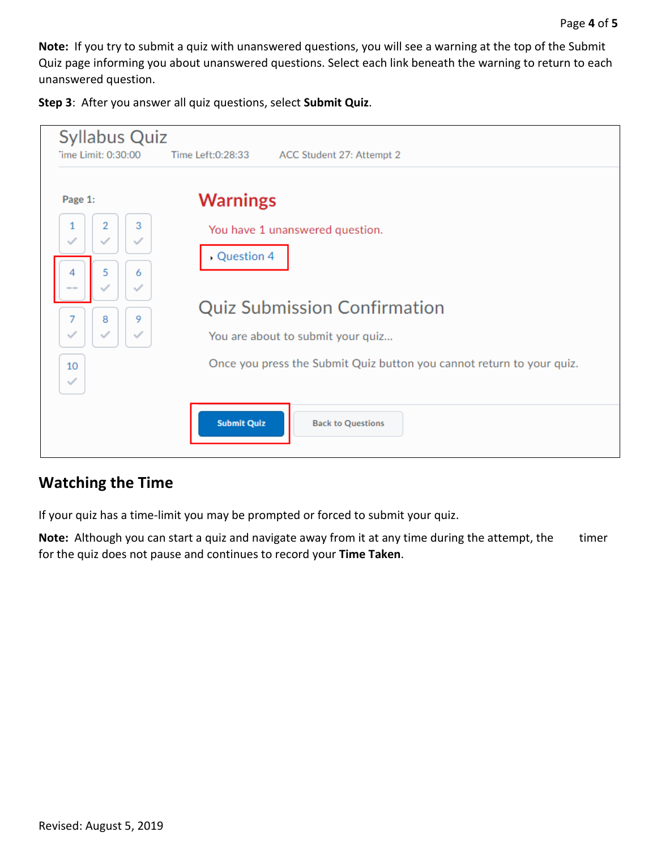**Note:** If you try to submit a quiz with unanswered questions, you will see a warning at the top of the Submit Quiz page informing you about unanswered questions. Select each link beneath the warning to return to each unanswered question.

**Step 3**: After you answer all quiz questions, select **Submit Quiz**.

| <b>Syllabus Quiz</b><br>Time Limit: 0:30:00                                                                                                                                                                                       | Time Left:0:28:33<br>ACC Student 27: Attempt 2                                                                                                                                                                        |
|-----------------------------------------------------------------------------------------------------------------------------------------------------------------------------------------------------------------------------------|-----------------------------------------------------------------------------------------------------------------------------------------------------------------------------------------------------------------------|
| Page 1:<br>3<br>2<br>1<br>✓<br>$\checkmark$<br>$\checkmark$<br>5<br>6<br>$\checkmark$<br>$\frac{1}{2} \left( \frac{1}{2} \right) \left( \frac{1}{2} \right) \left( \frac{1}{2} \right)$<br>7<br>9<br>8<br>$\checkmark$<br>10<br>✓ | <b>Warnings</b><br>You have 1 unanswered question.<br>Question 4<br><b>Quiz Submission Confirmation</b><br>You are about to submit your quiz<br>Once you press the Submit Quiz button you cannot return to your quiz. |
|                                                                                                                                                                                                                                   | <b>Submit Quiz</b><br><b>Back to Questions</b>                                                                                                                                                                        |

## **Watching the Time**

If your quiz has a time-limit you may be prompted or forced to submit your quiz.

Note: Although you can start a quiz and navigate away from it at any time during the attempt, the timer for the quiz does not pause and continues to record your **Time Taken**.